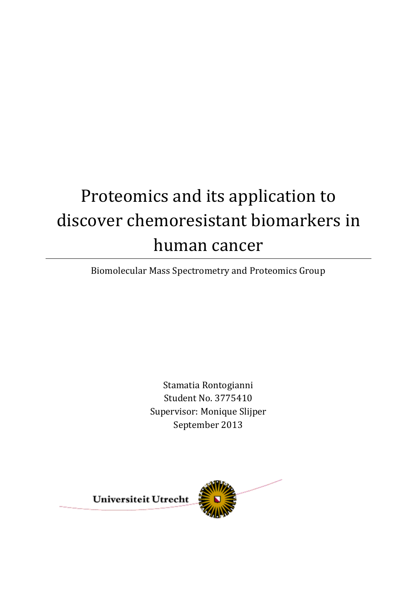# Proteomics and its application to discover chemoresistant biomarkers in human cancer

Biomolecular Mass Spectrometry and Proteomics Group

Stamatia Rontogianni Student No. 3775410 Supervisor: Monique Slijper September 2013

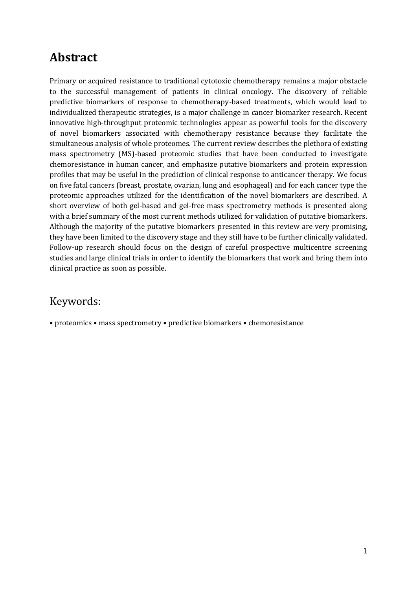## <span id="page-1-0"></span>**Abstract**

Primary or acquired resistance to traditional cytotoxic chemotherapy remains a major obstacle to the successful management of patients in clinical oncology. The discovery of reliable predictive biomarkers of response to chemotherapy-based treatments, which would lead to individualized therapeutic strategies, is a major challenge in cancer biomarker research. Recent innovative high-throughput proteomic technologies appear as powerful tools for the discovery of novel biomarkers associated with chemotherapy resistance because they facilitate the simultaneous analysis of whole proteomes. The current review describes the plethora of existing mass spectrometry (MS)-based proteomic studies that have been conducted to investigate chemoresistance in human cancer, and emphasize putative biomarkers and protein expression profiles that may be useful in the prediction of clinical response to anticancer therapy. We focus on five fatal cancers (breast, prostate, ovarian, lung and esophageal) and for each cancer type the proteomic approaches utilized for the identification of the novel biomarkers are described. A short overview of both gel-based and gel-free mass spectrometry methods is presented along with a brief summary of the most current methods utilized for validation of putative biomarkers. Although the majority of the putative biomarkers presented in this review are very promising, they have been limited to the discovery stage and they still have to be further clinically validated. Follow-up research should focus on the design of careful prospective multicentre screening studies and large clinical trials in order to identify the biomarkers that work and bring them into clinical practice as soon as possible.

### Keywords:

• proteomics • mass spectrometry • predictive biomarkers • chemoresistance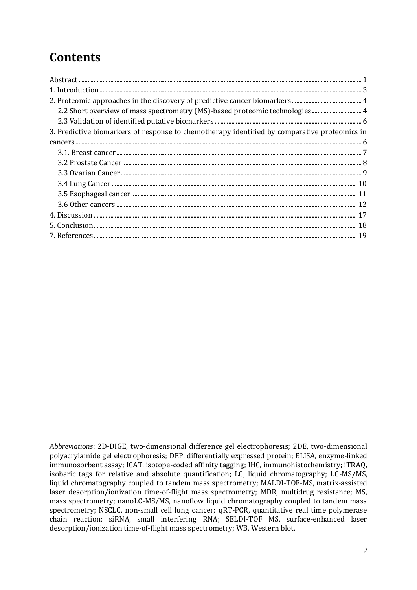# **Contents**

| 2.2 Short overview of mass spectrometry (MS)-based proteomic technologies 4                  |
|----------------------------------------------------------------------------------------------|
|                                                                                              |
| 3. Predictive biomarkers of response to chemotherapy identified by comparative proteomics in |
|                                                                                              |
|                                                                                              |
|                                                                                              |
|                                                                                              |
|                                                                                              |
|                                                                                              |
|                                                                                              |
|                                                                                              |
|                                                                                              |
|                                                                                              |

<span id="page-2-0"></span> $\overline{a}$ *Abbreviations*: 2D-DIGE, two-dimensional difference gel electrophoresis; 2DE, two-dimensional polyacrylamide gel electrophoresis; DEP, differentially expressed protein; ELISA, enzyme-linked immunosorbent assay; ICAT, isotope-coded affinity tagging; IHC, immunohistochemistry; iTRAQ, isobaric tags for relative and absolute quantification; LC, liquid chromatography; LC-MS/MS, liquid chromatography coupled to tandem mass spectrometry; MALDI-TOF-MS, matrix-assisted laser desorption/ionization time-of-flight mass spectrometry; MDR, multidrug resistance; MS, mass spectrometry; nanoLC-MS/MS, nanoflow liquid chromatography coupled to tandem mass spectrometry; NSCLC, non-small cell lung cancer; qRT-PCR, quantitative real time polymerase chain reaction; siRNA, small interfering RNA; SELDI-TOF MS, surface-enhanced laser desorption/ionization time-of-flight mass spectrometry; WB, Western blot.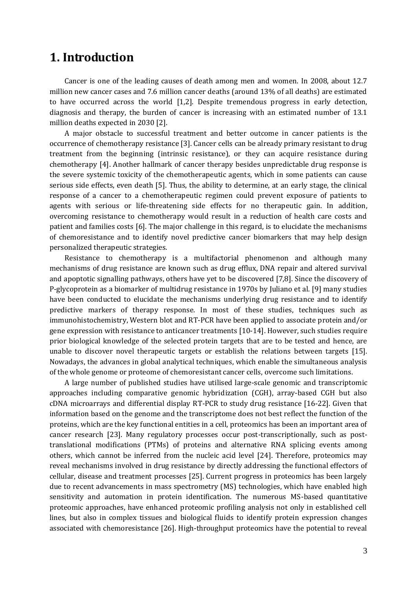### **1. Introduction**

Cancer is one of the leading causes of death among men and women. In 2008, about 12.7 million new cancer cases and 7.6 million cancer deaths (around 13% of all deaths) are estimated to have occurred across the world [1,2]. Despite tremendous progress in early detection, diagnosis and therapy, the burden of cancer is increasing with an estimated number of 13.1 million deaths expected in 2030 [2].

A major obstacle to successful treatment and better outcome in cancer patients is the occurrence of chemotherapy resistance [3]. Cancer cells can be already primary resistant to drug treatment from the beginning (intrinsic resistance), or they can acquire resistance during chemotherapy [4]. Another hallmark of cancer therapy besides unpredictable drug response is the severe systemic toxicity of the chemotherapeutic agents, which in some patients can cause serious side effects, even death [5]. Thus, the ability to determine, at an early stage, the clinical response of a cancer to a chemotherapeutic regimen could prevent exposure of patients to agents with serious or life-threatening side effects for no therapeutic gain. In addition, overcoming resistance to chemotherapy would result in a reduction of health care costs and patient and families costs [6]. The major challenge in this regard, is to elucidate the mechanisms of chemoresistance and to identify novel predictive cancer biomarkers that may help design personalized therapeutic strategies.

Resistance to chemotherapy is a multifactorial phenomenon and although many mechanisms of drug resistance are known such as drug efflux, DNA repair and altered survival and apoptotic signalling pathways, others have yet to be discovered [7,8]. Since the discovery of P-glycoprotein as a biomarker of multidrug resistance in 1970s by Juliano et al. [9] many studies have been conducted to elucidate the mechanisms underlying drug resistance and to identify predictive markers of therapy response. In most of these studies, techniques such as immunohistochemistry, Western blot and RT-PCR have been applied to associate protein and/or gene expression with resistance to anticancer treatments [10-14]. However, such studies require prior biological knowledge of the selected protein targets that are to be tested and hence, are unable to discover novel therapeutic targets or establish the relations between targets [15]. Nowadays, the advances in global analytical techniques, which enable the simultaneous analysis of the whole genome or proteome of chemoresistant cancer cells, overcome such limitations.

A large number of published studies have utilised large-scale genomic and transcriptomic approaches including comparative genomic hybridization (CGH), array-based CGH but also cDNA microarrays and differential display RT-PCR to study drug resistance [16-22]. Given that information based on the genome and the transcriptome does not best reflect the function of the proteins, which are the key functional entities in a cell, proteomics has been an important area of cancer research [23]. Many regulatory processes occur post-transcriptionally, such as posttranslational modifications (PTMs) of proteins and alternative RNA splicing events among others, which cannot be inferred from the nucleic acid level [24]. Therefore, proteomics may reveal mechanisms involved in drug resistance by directly addressing the functional effectors of cellular, disease and treatment processes [25]. Current progress in proteomics has been largely due to recent advancements in mass spectrometry (MS) technologies, which have enabled high sensitivity and automation in protein identification. The numerous MS-based quantitative proteomic approaches, have enhanced proteomic profiling analysis not only in established cell lines, but also in complex tissues and biological fluids to identify protein expression changes associated with chemoresistance [26]. High-throughput proteomics have the potential to reveal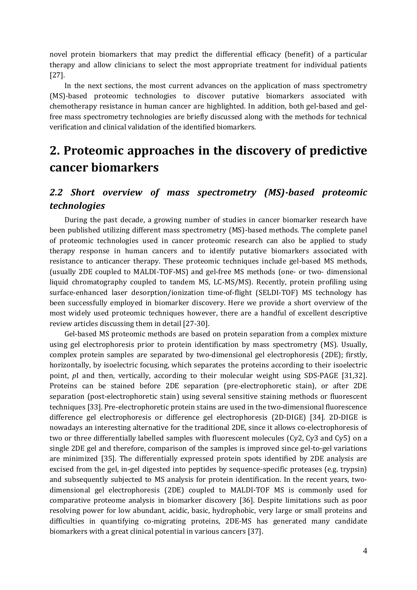novel protein biomarkers that may predict the differential efficacy (benefit) of a particular therapy and allow clinicians to select the most appropriate treatment for individual patients [27].

In the next sections, the most current advances on the application of mass spectrometry (MS)-based proteomic technologies to discover putative biomarkers associated with chemotherapy resistance in human cancer are highlighted. In addition, both gel-based and gelfree mass spectrometry technologies are briefly discussed along with the methods for technical verification and clinical validation of the identified biomarkers.

# <span id="page-4-0"></span>**2. Proteomic approaches in the discovery of predictive cancer biomarkers**

### <span id="page-4-1"></span>*2.2 Short overview of mass spectrometry (MS)-based proteomic technologies*

During the past decade, a growing number of studies in cancer biomarker research have been published utilizing different mass spectrometry (MS)-based methods. The complete panel of proteomic technologies used in cancer proteomic research can also be applied to study therapy response in human cancers and to identify putative biomarkers associated with resistance to anticancer therapy. These proteomic techniques include gel-based MS methods, (usually 2DE coupled to MALDI-TOF-MS) and gel-free MS methods (one- or two- dimensional liquid chromatography coupled to tandem MS, LC-MS/MS). Recently, protein profiling using surface-enhanced laser desorption/ionization time-of-flight (SELDI-TOF) MS technology has been successfully employed in biomarker discovery. Here we provide a short overview of the most widely used proteomic techniques however, there are a handful of excellent descriptive review articles discussing them in detail [27-30].

Gel-based MS proteomic methods are based on protein separation from a complex mixture using gel electrophoresis prior to protein identification by mass spectrometry (MS). Usually, complex protein samples are separated by two-dimensional gel electrophoresis (2DE); firstly, horizontally, by isoelectric focusing, which separates the proteins according to their isoelectric point, *p*I and then, vertically, according to their molecular weight using SDS-PAGE [31,32]. Proteins can be stained before 2DE separation (pre-electrophoretic stain), or after 2DE separation (post-electrophoretic stain) using several sensitive staining methods or fluorescent techniques [33]. Pre-electrophoretic protein stains are used in the two-dimensional fluorescence difference gel electrophoresis or difference gel electrophoresis (2D-DIGE) [34]. 2D-DIGE is nowadays an interesting alternative for the traditional 2DE, since it allows co-electrophoresis of two or three differentially labelled samples with fluorescent molecules (Cy2, Cy3 and Cy5) on a single 2DE gel and therefore, comparison of the samples is improved since gel-to-gel variations are minimized [35]. The differentially expressed protein spots identified by 2DE analysis are excised from the gel, in-gel digested into peptides by sequence-specific proteases (e.g. trypsin) and subsequently subjected to MS analysis for protein identification. In the recent years, twodimensional gel electrophoresis (2DE) coupled to MALDI-TOF MS is commonly used for comparative proteome analysis in biomarker discovery [36]. Despite limitations such as poor resolving power for low abundant, acidic, basic, hydrophobic, very large or small proteins and difficulties in quantifying co-migrating proteins, 2DE-MS has generated many candidate biomarkers with a great clinical potential in various cancers [37].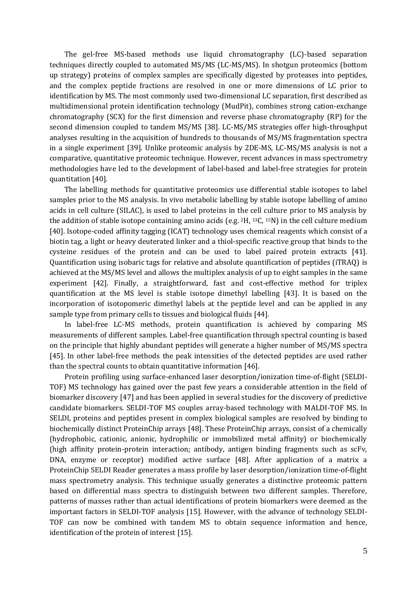The gel-free MS-based methods use liquid chromatography (LC)-based separation techniques directly coupled to automated MS/MS (LC-MS/MS). In shotgun proteomics (bottom up strategy) proteins of complex samples are specifically digested by proteases into peptides, and the complex peptide fractions are resolved in one or more dimensions of LC prior to identification by MS. The most commonly used two-dimensional LC separation, first described as multidimensional protein identification technology (MudPit), combines strong cation-exchange chromatography (SCX) for the first dimension and reverse phase chromatography (RP) for the second dimension coupled to tandem MS/MS [38]. LC-MS/MS strategies offer high-throughput analyses resulting in the acquisition of hundreds to thousands of MS/MS fragmentation spectra in a single experiment [39]. Unlike proteomic analysis by 2DE-MS, LC-MS/MS analysis is not a comparative, quantitative proteomic technique. However, recent advances in mass spectrometry methodologies have led to the development of label-based and label-free strategies for protein quantitation [40].

The labelling methods for quantitative proteomics use differential stable isotopes to label samples prior to the MS analysis. In vivo metabolic labelling by stable isotope labelling of amino acids in cell culture (SILAC), is used to label proteins in the cell culture prior to MS analysis by the addition of stable isotope containing amino acids (e.g. <sup>2</sup>H, <sup>13</sup>C, <sup>15</sup>N) in the cell culture medium [40]. Isotope-coded affinity tagging (ICAT) technology uses chemical reagents which consist of a biotin tag, a light or heavy deuterated linker and a thiol-specific reactive group that binds to the cysteine residues of the protein and can be used to label paired protein extracts [41]. Quantification using isobaric tags for relative and absolute quantification of peptides (iTRAQ) is achieved at the MS/MS level and allows the multiplex analysis of up to eight samples in the same experiment [42]. Finally, a straightforward, fast and cost-effective method for triplex quantification at the MS level is stable isotope dimethyl labelling [43]. It is based on the incorporation of isotopomeric dimethyl labels at the peptide level and can be applied in any sample type from primary cells to tissues and biological fluids [44].

In label-free LC-MS methods, protein quantification is achieved by comparing MS measurements of different samples. Label-free quantification through spectral counting is based on the principle that highly abundant peptides will generate a higher number of MS/MS spectra [45]. In other label-free methods the peak intensities of the detected peptides are used rather than the spectral counts to obtain quantitative information [46].

Protein profiling using surface-enhanced laser desorption/ionization time-of-flight (SELDI-TOF) MS technology has gained over the past few years a considerable attention in the field of biomarker discovery [47] and has been applied in several studies for the discovery of predictive candidate biomarkers. SELDI-TOF MS couples array-based technology with MALDI-TOF MS. In SELDI, proteins and peptides present in complex biological samples are resolved by binding to biochemically distinct ProteinChip arrays [48]. These ProteinChip arrays, consist of a chemically (hydrophobic, cationic, anionic, hydrophilic or immobilized metal affinity) or biochemically (high affinity protein-protein interaction; antibody, antigen binding fragments such as scFv, DNA, enzyme or receptor) modified active surface [48]. After application of a matrix a ProteinChip SELDI Reader generates a mass profile by laser desorption/ionization time-of-flight mass spectrometry analysis. This technique usually generates a distinctive proteomic pattern based on differential mass spectra to distinguish between two different samples. Therefore, patterns of masses rather than actual identifications of protein biomarkers were deemed as the important factors in SELDI-TOF analysis [15]. However, with the advance of technology SELDI-TOF can now be combined with tandem MS to obtain sequence information and hence, identification of the protein of interest [15].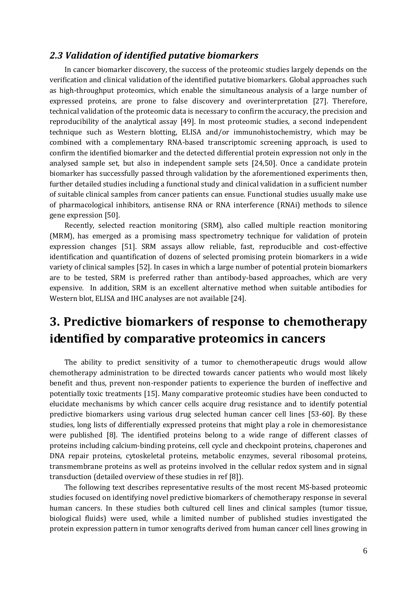#### <span id="page-6-0"></span>*2.3 Validation of identified putative biomarkers*

In cancer biomarker discovery, the success of the proteomic studies largely depends on the verification and clinical validation of the identified putative biomarkers. Global approaches such as high-throughput proteomics, which enable the simultaneous analysis of a large number of expressed proteins, are prone to false discovery and overinterpretation [27]. Therefore, technical validation of the proteomic data is necessary to confirm the accuracy, the precision and reproducibility of the analytical assay [49]. In most proteomic studies, a second independent technique such as Western blotting, ELISA and/or immunohistochemistry, which may be combined with a complementary RNA-based transcriptomic screening approach, is used to confirm the identified biomarker and the detected differential protein expression not only in the analysed sample set, but also in independent sample sets [24,50]. Once a candidate protein biomarker has successfully passed through validation by the aforementioned experiments then, further detailed studies including a functional study and clinical validation in a sufficient number of suitable clinical samples from cancer patients can ensue. Functional studies usually make use of pharmacological inhibitors, antisense RNA or RNA interference (RNAi) methods to silence gene expression [50].

Recently, selected reaction monitoring (SRM), also called multiple reaction monitoring (MRM), has emerged as a promising mass spectrometry technique for validation of protein expression changes [51]. SRM assays allow reliable, fast, reproducible and cost-effective identification and quantification of dozens of selected promising protein biomarkers in a wide variety of clinical samples [52]. In cases in which a large number of potential protein biomarkers are to be tested, SRM is preferred rather than antibody-based approaches, which are very expensive. In addition, SRM is an excellent alternative method when suitable antibodies for Western blot, ELISA and IHC analyses are not available [24].

# <span id="page-6-1"></span>**3. Predictive biomarkers of response to chemotherapy identified by comparative proteomics in cancers**

The ability to predict sensitivity of a tumor to chemotherapeutic drugs would allow chemotherapy administration to be directed towards cancer patients who would most likely benefit and thus, prevent non-responder patients to experience the burden of ineffective and potentially toxic treatments [15]. Many comparative proteomic studies have been conducted to elucidate mechanisms by which cancer cells acquire drug resistance and to identify potential predictive biomarkers using various drug selected human cancer cell lines [53-60]. By these studies, long lists of differentially expressed proteins that might play a role in chemoresistance were published [8]. The identified proteins belong to a wide range of different classes of proteins including calcium-binding proteins, cell cycle and checkpoint proteins, chaperones and DNA repair proteins, cytoskeletal proteins, metabolic enzymes, several ribosomal proteins, transmembrane proteins as well as proteins involved in the cellular redox system and in signal transduction (detailed overview of these studies in ref [8]).

The following text describes representative results of the most recent MS-based proteomic studies focused on identifying novel predictive biomarkers of chemotherapy response in several human cancers. In these studies both cultured cell lines and clinical samples (tumor tissue, biological fluids) were used, while a limited number of published studies investigated the protein expression pattern in tumor xenografts derived from human cancer cell lines growing in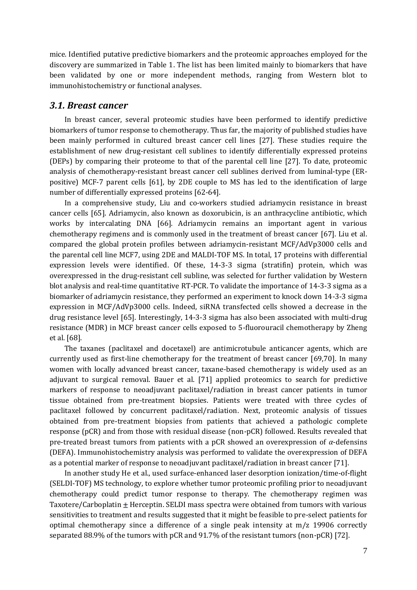mice. Identified putative predictive biomarkers and the proteomic approaches employed for the discovery are summarized in Table 1. The list has been limited mainly to biomarkers that have been validated by one or more independent methods, ranging from Western blot to immunohistochemistry or functional analyses.

#### <span id="page-7-0"></span>*3.1. Breast cancer*

In breast cancer, several proteomic studies have been performed to identify predictive biomarkers of tumor response to chemotherapy. Thus far, the majority of published studies have been mainly performed in cultured breast cancer cell lines [27]. These studies require the establishment of new drug-resistant cell sublines to identify differentially expressed proteins (DEPs) by comparing their proteome to that of the parental cell line [27]. To date, proteomic analysis of chemotherapy-resistant breast cancer cell sublines derived from luminal-type (ERpositive) MCF-7 parent cells [61], by 2DE couple to MS has led to the identification of large number of differentially expressed proteins [62-64].

In a comprehensive study, Liu and co-workers studied adriamycin resistance in breast cancer cells [65]. Adriamycin, also known as doxorubicin, is an anthracycline antibiotic, which works by intercalating DNA [66]. Adriamycin remains an important agent in various chemotherapy regimens and is commonly used in the treatment of breast cancer [67]. Liu et al. compared the global protein profiles between adriamycin-resistant MCF/AdVp3000 cells and the parental cell line MCF7, using 2DE and MALDI-TOF MS. In total, 17 proteins with differential expression levels were identified. Of these, 14-3-3 sigma (stratifin) protein, which was overexpressed in the drug-resistant cell subline, was selected for further validation by Western blot analysis and real-time quantitative RT-PCR. To validate the importance of 14-3-3 sigma as a biomarker of adriamycin resistance, they performed an experiment to knock down 14-3-3 sigma expression in MCF/AdVp3000 cells. Indeed, siRNA transfected cells showed a decrease in the drug resistance level [65]. Interestingly, 14-3-3 sigma has also been associated with multi-drug resistance (MDR) in MCF breast cancer cells exposed to 5-fluorouracil chemotherapy by Zheng et al. [68].

The taxanes (paclitaxel and docetaxel) are antimicrotubule anticancer agents, which are currently used as first-line chemotherapy for the treatment of breast cancer [69,70]. In many women with locally advanced breast cancer, taxane-based chemotherapy is widely used as an adjuvant to surgical removal. Bauer et al. [71] applied proteomics to search for predictive markers of response to neoadjuvant paclitaxel/radiation in breast cancer patients in tumor tissue obtained from pre-treatment biopsies. Patients were treated with three cycles of paclitaxel followed by concurrent paclitaxel/radiation. Next, proteomic analysis of tissues obtained from pre-treatment biopsies from patients that achieved a pathologic complete response (pCR) and from those with residual disease (non-pCR) followed. Results revealed that pre-treated breast tumors from patients with a pCR showed an overexpression of *α*-defensins (DEFA). Immunohistochemistry analysis was performed to validate the overexpression of DEFA as a potential marker of response to neoadjuvant paclitaxel/radiation in breast cancer [71].

In another study He et al., used surface-enhanced laser desorption ionization/time-of-flight (SELDI-TOF) MS technology, to explore whether tumor proteomic profiling prior to neoadjuvant chemotherapy could predict tumor response to therapy. The chemotherapy regimen was Taxotere/Carboplatin  $\pm$  Herceptin. SELDI mass spectra were obtained from tumors with various sensitivities to treatment and results suggested that it might be feasible to pre-select patients for optimal chemotherapy since a difference of a single peak intensity at m/z 19906 correctly separated 88.9% of the tumors with pCR and 91.7% of the resistant tumors (non-pCR) [72].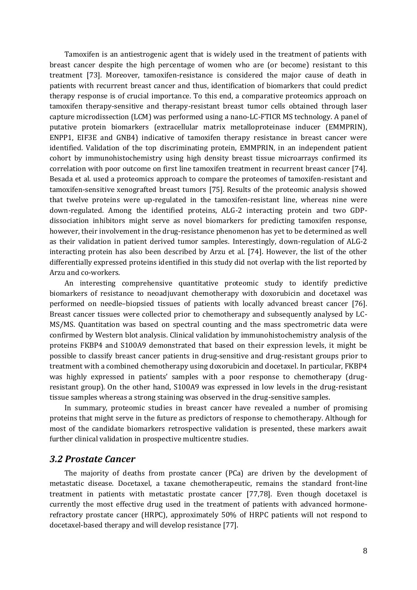Tamoxifen is an antiestrogenic agent that is widely used in the treatment of patients with breast cancer despite the high percentage of women who are (or become) resistant to this treatment [73]. Moreover, tamoxifen-resistance is considered the major cause of death in patients with recurrent breast cancer and thus, identification of biomarkers that could predict therapy response is of crucial importance. To this end, a comparative proteomics approach on tamoxifen therapy-sensitive and therapy-resistant breast tumor cells obtained through laser capture microdissection (LCM) was performed using a nano-LC-FTICR MS technology. A panel of putative protein biomarkers (extracellular matrix metalloproteinase inducer (EMMPRIN), ENPP1, EIF3E and GNB4) indicative of tamoxifen therapy resistance in breast cancer were identified. Validation of the top discriminating protein, EMMPRIN, in an independent patient cohort by immunohistochemistry using high density breast tissue microarrays confirmed its correlation with poor outcome on first line tamoxifen treatment in recurrent breast cancer [74]. Besada et al. used a proteomics approach to compare the proteomes of tamoxifen-resistant and tamoxifen-sensitive xenografted breast tumors [75]. Results of the proteomic analysis showed that twelve proteins were up-regulated in the tamoxifen-resistant line, whereas nine were down-regulated. Among the identified proteins, ALG-2 interacting protein and two GDPdissociation inhibitors might serve as novel biomarkers for predicting tamoxifen response, however, their involvement in the drug-resistance phenomenon has yet to be determined as well as their validation in patient derived tumor samples. Interestingly, down-regulation of ALG-2 interacting protein has also been described by Arzu et al. [74]. However, the list of the other differentially expressed proteins identified in this study did not overlap with the list reported by Arzu and co-workers.

An interesting comprehensive quantitative proteomic study to identify predictive biomarkers of resistance to neoadjuvant chemotherapy with doxorubicin and docetaxel was performed on needle–biopsied tissues of patients with locally advanced breast cancer [76]. Breast cancer tissues were collected prior to chemotherapy and subsequently analysed by LC-MS/MS. Quantitation was based on spectral counting and the mass spectrometric data were confirmed by Western blot analysis. Clinical validation by immunohistochemistry analysis of the proteins FKBP4 and S100A9 demonstrated that based on their expression levels, it might be possible to classify breast cancer patients in drug-sensitive and drug-resistant groups prior to treatment with a combined chemotherapy using doxorubicin and docetaxel. In particular, FKBP4 was highly expressed in patients' samples with a poor response to chemotherapy (drugresistant group). On the other hand, S100A9 was expressed in low levels in the drug-resistant tissue samples whereas a strong staining was observed in the drug-sensitive samples.

In summary, proteomic studies in breast cancer have revealed a number of promising proteins that might serve in the future as predictors of response to chemotherapy. Although for most of the candidate biomarkers retrospective validation is presented, these markers await further clinical validation in prospective multicentre studies.

#### <span id="page-8-0"></span>*3.2 Prostate Cancer*

The majority of deaths from prostate cancer (PCa) are driven by the development of metastatic disease. Docetaxel, a taxane chemotherapeutic, remains the standard front-line treatment in patients with metastatic prostate cancer [77,78]. Even though docetaxel is currently the most effective drug used in the treatment of patients with advanced hormonerefractory prostate cancer (HRPC), approximately 50% of HRPC patients will not respond to docetaxel-based therapy and will develop resistance [77].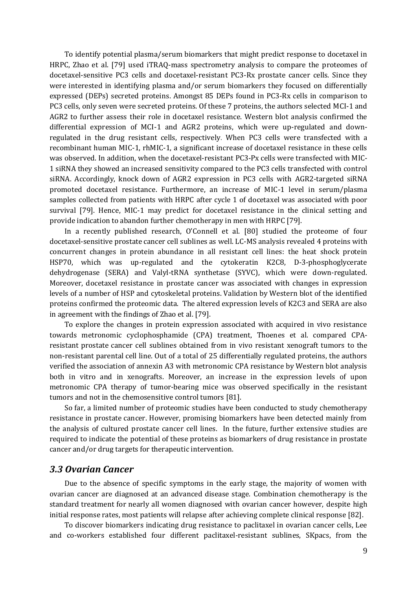To identify potential plasma/serum biomarkers that might predict response to docetaxel in HRPC, Zhao et al. [79] used iTRAQ-mass spectrometry analysis to compare the proteomes of docetaxel-sensitive PC3 cells and docetaxel-resistant PC3-Rx prostate cancer cells. Since they were interested in identifying plasma and/or serum biomarkers they focused on differentially expressed (DEPs) secreted proteins. Amongst 85 DEPs found in PC3-Rx cells in comparison to PC3 cells, only seven were secreted proteins. Of these 7 proteins, the authors selected MCI-1 and AGR2 to further assess their role in docetaxel resistance. Western blot analysis confirmed the differential expression of MCI-1 and AGR2 proteins, which were up-regulated and downregulated in the drug resistant cells, respectively. When PC3 cells were transfected with a recombinant human MIC-1, rhMIC-1, a significant increase of docetaxel resistance in these cells was observed. In addition, when the docetaxel-resistant PC3-Px cells were transfected with MIC-1 siRNA they showed an increased sensitivity compared to the PC3 cells transfected with control siRNA. Accordingly, knock down of AGR2 expression in PC3 cells with AGR2-targeted siRNA promoted docetaxel resistance. Furthermore, an increase of MIC-1 level in serum/plasma samples collected from patients with HRPC after cycle 1 of docetaxel was associated with poor survival [79]. Hence, MIC-1 may predict for docetaxel resistance in the clinical setting and provide indication to abandon further chemotherapy in men with HRPC [79].

In a recently published research, O'Connell et al. [80] studied the proteome of four docetaxel-sensitive prostate cancer cell sublines as well. LC-MS analysis revealed 4 proteins with concurrent changes in protein abundance in all resistant cell lines: the heat shock protein HSP70, which was up-regulated and the cytokeratin K2C8, D-3-phosphoglycerate dehydrogenase (SERA) and Valyl-tRNA synthetase (SYVC), which were down-regulated. Moreover, docetaxel resistance in prostate cancer was associated with changes in expression levels of a number of HSP and cytoskeletal proteins. Validation by Western blot of the identified proteins confirmed the proteomic data. The altered expression levels of K2C3 and SERA are also in agreement with the findings of Zhao et al. [79].

To explore the changes in protein expression associated with acquired in vivo resistance towards metronomic cyclophosphamide (CPA) treatment, Thoenes et al. compared CPAresistant prostate cancer cell sublines obtained from in vivo resistant xenograft tumors to the non-resistant parental cell line. Out of a total of 25 differentially regulated proteins, the authors verified the association of annexin A3 with metronomic CPA resistance by Western blot analysis both in vitro and in xenografts. Moreover, an increase in the expression levels of upon metronomic CPA therapy of tumor-bearing mice was observed specifically in the resistant tumors and not in the chemosensitive control tumors [81].

So far, a limited number of proteomic studies have been conducted to study chemotherapy resistance in prostate cancer. However, promising biomarkers have been detected mainly from the analysis of cultured prostate cancer cell lines. In the future, further extensive studies are required to indicate the potential of these proteins as biomarkers of drug resistance in prostate cancer and/or drug targets for therapeutic intervention.

#### <span id="page-9-0"></span>*3.3 Ovarian Cancer*

Due to the absence of specific symptoms in the early stage, the majority of women with ovarian cancer are diagnosed at an advanced disease stage. Combination chemotherapy is the standard treatment for nearly all women diagnosed with ovarian cancer however, despite high initial response rates, most patients will relapse after achieving complete clinical response [82].

To discover biomarkers indicating drug resistance to paclitaxel in ovarian cancer cells, Lee and co-workers established four different paclitaxel-resistant sublines, SKpacs, from the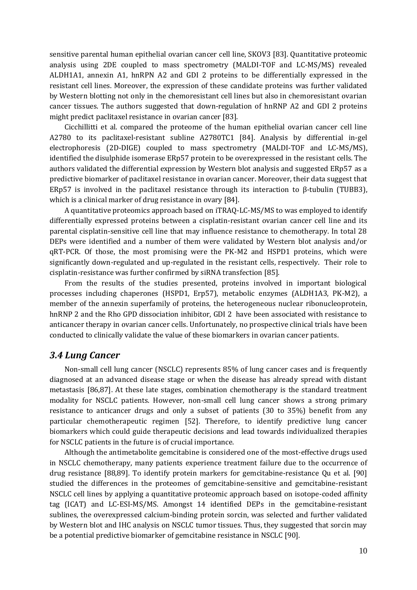sensitive parental human epithelial ovarian cancer cell line, SKOV3 [83]. Quantitative proteomic analysis using 2DE coupled to mass spectrometry (MALDI-TOF and LC-MS/MS) revealed ALDH1A1, annexin A1, hnRPN A2 and GDI 2 proteins to be differentially expressed in the resistant cell lines. Moreover, the expression of these candidate proteins was further validated by Western blotting not only in the chemoresistant cell lines but also in chemoresistant ovarian cancer tissues. The authors suggested that down-regulation of hnRNP A2 and GDI 2 proteins might predict paclitaxel resistance in ovarian cancer [83].

Cicchillitti et al. compared the proteome of the human epithelial ovarian cancer cell line A2780 to its paclitaxel-resistant subline A2780TC1 [84]. Analysis by differential in-gel electrophoresis (2D-DIGE) coupled to mass spectrometry (MALDI-TOF and LC-MS/MS), identified the disulphide isomerase ERp57 protein to be overexpressed in the resistant cells. The authors validated the differential expression by Western blot analysis and suggested ERp57 as a predictive biomarker of paclitaxel resistance in ovarian cancer. Moreover, their data suggest that ERp57 is involved in the paclitaxel resistance through its interaction to β-tubulin (TUBB3), which is a clinical marker of drug resistance in ovary [84].

A quantitative proteomics approach based on iTRAQ-LC-MS/MS to was employed to identify differentially expressed proteins between a cisplatin-resistant ovarian cancer cell line and its parental cisplatin-sensitive cell line that may influence resistance to chemotherapy. In total 28 DEPs were identified and a number of them were validated by Western blot analysis and/or qRT-PCR. Of those, the most promising were the PK-M2 and HSPD1 proteins, which were significantly down-regulated and up-regulated in the resistant cells, respectively. Their role to cisplatin-resistance was further confirmed by siRNA transfection [85].

From the results of the studies presented, proteins involved in important biological processes including chaperones (HSPD1, Erp57), metabolic enzymes (ALDH1A3, PK-M2), a member of the annexin superfamily of proteins, the heterogeneous nuclear ribonucleoprotein, hnRNP 2 and the Rho GPD dissociation inhibitor, GDI 2 have been associated with resistance to anticancer therapy in ovarian cancer cells. Unfortunately, no prospective clinical trials have been conducted to clinically validate the value of these biomarkers in ovarian cancer patients.

#### <span id="page-10-0"></span>*3.4 Lung Cancer*

Non-small cell lung cancer (NSCLC) represents 85% of lung cancer cases and is frequently diagnosed at an advanced disease stage or when the disease has already spread with distant metastasis [86,87]. At these late stages, combination chemotherapy is the standard treatment modality for NSCLC patients. However, non-small cell lung cancer shows a strong primary resistance to anticancer drugs and only a subset of patients (30 to 35%) benefit from any particular chemotherapeutic regimen [52]. Therefore, to identify predictive lung cancer biomarkers which could guide therapeutic decisions and lead towards individualized therapies for NSCLC patients in the future is of crucial importance.

Although the antimetabolite gemcitabine is considered one of the most-effective drugs used in NSCLC chemotherapy, many patients experience treatment failure due to the occurrence of drug resistance [88,89]. To identify protein markers for gemcitabine-resistance Qu et al. [90] studied the differences in the proteomes of gemcitabine-sensitive and gemcitabine-resistant NSCLC cell lines by applying a quantitative proteomic approach based on isotope-coded affinity tag (ICAT) and LC-ESI-MS/MS. Amongst 14 identified DEPs in the gemcitabine-resistant sublines, the overexpressed calcium-binding protein sorcin, was selected and further validated by Western blot and IHC analysis on NSCLC tumor tissues. Thus, they suggested that sorcin may be a potential predictive biomarker of gemcitabine resistance in NSCLC [90].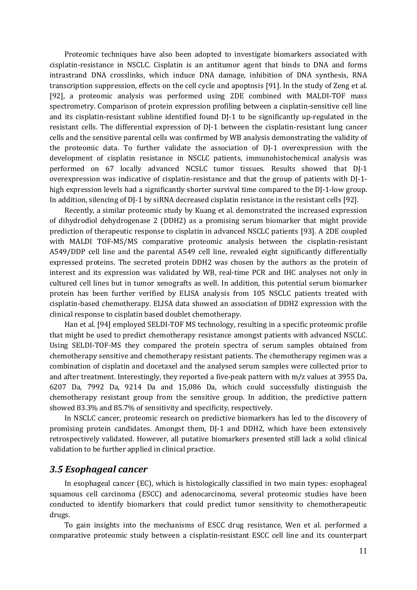Proteomic techniques have also been adopted to investigate biomarkers associated with cisplatin-resistance in NSCLC. Cisplatin is an antitumor agent that binds to DNA and forms intrastrand DNA crosslinks, which induce DNA damage, inhibition of DNA synthesis, RNA transcription suppression, effects on the cell cycle and apoptosis [91]. In the study of Zeng et al. [92], a proteomic analysis was performed using 2DE combined with MALDI-TOF mass spectrometry. Comparison of protein expression profiling between a cisplatin-sensitive cell line and its cisplatin-resistant subline identified found DJ-1 to be significantly up-regulated in the resistant cells. The differential expression of DJ-1 between the cisplatin-resistant lung cancer cells and the sensitive parental cells was confirmed by WB analysis demonstrating the validity of the proteomic data. To further validate the association of DJ-1 overexpression with the development of cisplatin resistance in NSCLC patients, immunohistochemical analysis was performed on 67 locally advanced NCSLC tumor tissues. Results showed that DJ-1 overexpression was indicative of cisplatin-resistance and that the group of patients with DJ-1 high expression levels had a significantly shorter survival time compared to the DJ-1-low group. In addition, silencing of DJ-1 by siRNA decreased cisplatin resistance in the resistant cells [92].

Recently, a similar proteomic study by Kuang et al. demonstrated the increased expression of dihydrodiol dehydrogenase 2 (DDH2) as a promising serum biomarker that might provide prediction of therapeutic response to cisplatin in advanced NSCLC patients [93]. A 2DE coupled with MALDI TOF-MS/MS comparative proteomic analysis between the cisplatin-resistant A549/DDP cell line and the parental A549 cell line, revealed eight significantly differentially expressed proteins. The secreted protein DDH2 was chosen by the authors as the protein of interest and its expression was validated by WB, real-time PCR and IHC analyses not only in cultured cell lines but in tumor xenografts as well. In addition, this potential serum biomarker protein has been further verified by ELISA analysis from 105 NSCLC patients treated with cisplatin-based chemotherapy. ELISA data showed an association of DDH2 expression with the clinical response to cisplatin based doublet chemotherapy.

Han et al. [94] employed SELDI-TOF MS technology, resulting in a specific proteomic profile that might be used to predict chemotherapy resistance amongst patients with advanced NSCLC. Using SELDI-TOF-MS they compared the protein spectra of serum samples obtained from chemotherapy sensitive and chemotherapy resistant patients. The chemotherapy regimen was a combination of cisplatin and docetaxel and the analysed serum samples were collected prior to and after treatment. Interestingly, they reported a five-peak pattern with m/z values at 3955 Da, 6207 Da, 7992 Da, 9214 Da and 15,086 Da, which could successfully distinguish the chemotherapy resistant group from the sensitive group. In addition, the predictive pattern showed 83.3% and 85.7% of sensitivity and specificity, respectively.

In NSCLC cancer, proteomic research on predictive biomarkers has led to the discovery of promising protein candidates. Amongst them, DJ-1 and DDH2, which have been extensively retrospectively validated. However, all putative biomarkers presented still lack a solid clinical validation to be further applied in clinical practice.

#### <span id="page-11-0"></span>*3.5 Esophageal cancer*

In esophageal cancer (EC), which is histologically classified in two main types: esophageal squamous cell carcinoma (ESCC) and adenocarcinoma, several proteomic studies have been conducted to identify biomarkers that could predict tumor sensitivity to chemotherapeutic drugs.

To gain insights into the mechanisms of ESCC drug resistance, Wen et al. performed a comparative proteomic study between a cisplatin-resistant ESCC cell line and its counterpart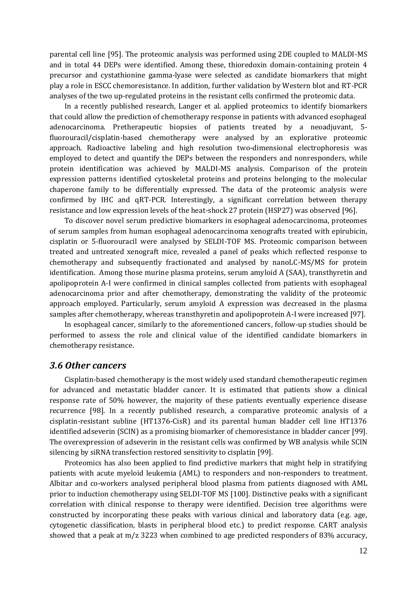parental cell line [95]. The proteomic analysis was performed using 2DE coupled to MALDI-MS and in total 44 DEPs were identified. Among these, thioredoxin domain-containing protein 4 precursor and cystathionine gamma-lyase were selected as candidate biomarkers that might play a role in ESCC chemoresistance. In addition, further validation by Western blot and RT-PCR analyses of the two up-regulated proteins in the resistant cells confirmed the proteomic data.

In a recently published research, Langer et al. applied proteomics to identify biomarkers that could allow the prediction of chemotherapy response in patients with advanced esophageal adenocarcinoma. Pretherapeutic biopsies of patients treated by a neoadjuvant, 5 fluorouracil/cisplatin-based chemotherapy were analysed by an explorative proteomic approach. Radioactive labeling and high resolution two-dimensional electrophoresis was employed to detect and quantify the DEPs between the responders and nonresponders, while protein identification was achieved by MALDI-MS analysis. Comparison of the protein expression patterns identified cytoskeletal proteins and proteins belonging to the molecular chaperone family to be differentially expressed. The data of the proteomic analysis were confirmed by IHC and qRT-PCR. Interestingly, a significant correlation between therapy resistance and low expression levels of the heat-shock 27 protein (HSP27) was observed [96].

To discover novel serum predictive biomarkers in esophageal adenocarcinoma, proteomes of serum samples from human esophageal adenocarcinoma xenografts treated with epirubicin, cisplatin or 5-fluorouracil were analysed by SELDI-TOF MS. Proteomic comparison between treated and untreated xenograft mice, revealed a panel of peaks which reflected response to chemotherapy and subsequently fractionated and analysed by nanoLC-MS/MS for protein identification. Among those murine plasma proteins, serum amyloid A (SAA), transthyretin and apolipoprotein A-I were confirmed in clinical samples collected from patients with esophageal adenocarcinoma prior and after chemotherapy, demonstrating the validity of the proteomic approach employed. Particularly, serum amyloid A expression was decreased in the plasma samples after chemotherapy, whereas transthyretin and apolipoprotein A-I were increased [97].

In esophageal cancer, similarly to the aforementioned cancers, follow-up studies should be performed to assess the role and clinical value of the identified candidate biomarkers in chemotherapy resistance.

#### <span id="page-12-0"></span>*3.6 Other cancers*

Cisplatin-based chemotherapy is the most widely used standard chemotherapeutic regimen for advanced and metastatic bladder cancer. It is estimated that patients show a clinical response rate of 50% however, the majority of these patients eventually experience disease recurrence [98]. In a recently published research, a comparative proteomic analysis of a cisplatin-resistant subline (HT1376-CisR) and its parental human bladder cell line HT1376 identified adseverin (SCIN) as a promising biomarker of chemoresistance in bladder cancer [99]. The overexpression of adseverin in the resistant cells was confirmed by WB analysis while SCIN silencing by siRNA transfection restored sensitivity to cisplatin [99].

Proteomics has also been applied to find predictive markers that might help in stratifying patients with acute myeloid leukemia (AML) to responders and non-responders to treatment. Albitar and co-workers analysed peripheral blood plasma from patients diagnosed with AML prior to induction chemotherapy using SELDI-TOF MS [100]. Distinctive peaks with a significant correlation with clinical response to therapy were identified. Decision tree algorithms were constructed by incorporating these peaks with various clinical and laboratory data (e.g. age, cytogenetic classification, blasts in peripheral blood etc.) to predict response. CART analysis showed that a peak at m/z 3223 when combined to age predicted responders of 83% accuracy,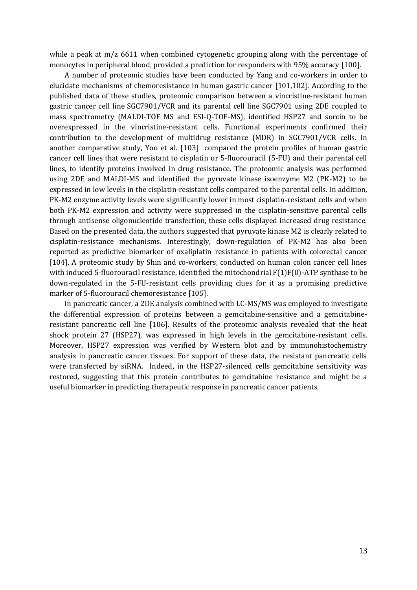while a peak at m/z 6611 when combined cytogenetic grouping along with the percentage of monocytes in peripheral blood, provided a prediction for responders with 95% accuracy [100].

A number of proteomic studies have been conducted by Yang and co-workers in order to elucidate mechanisms of chemoresistance in human gastric cancer [101,102]. According to the published data of these studies, proteomic comparison between a vincristine-resistant human gastric cancer cell line SGC7901/VCR and its parental cell line SGC7901 using 2DE coupled to mass spectrometry (MALDI-TOF MS and ESI-Q-TOF-MS), identified HSP27 and sorcin to be overexpressed in the vincristine-resistant cells. Functional experiments confirmed their contribution to the development of multidrug resistance (MDR) in SGC7901/VCR cells. In another comparative study, Yoo et al. [103] compared the protein profiles of human gastric cancer cell lines that were resistant to cisplatin or 5-fluorouracil (5-FU) and their parental cell lines, to identify proteins involved in drug resistance. The proteomic analysis was performed using 2DE and MALDI-MS and identified the pyruvate kinase isoenzyme M2 (PK-M2) to be expressed in low levels in the cisplatin-resistant cells compared to the parental cells. In addition, PK-M2 enzyme activity levels were significantly lower in most cisplatin-resistant cells and when both PK-M2 expression and activity were suppressed in the cisplatin-sensitive parental cells through antisense oligonucleotide transfection, these cells displayed increased drug resistance. Based on the presented data, the authors suggested that pyruvate kinase M2 is clearly related to cisplatin-resistance mechanisms. Interestingly, down-regulation of PK-M2 has also been reported as predictive biomarker of oxaliplatin resistance in patients with colorectal cancer [104]. A proteomic study by Shin and co-workers, conducted on human colon cancer cell lines with induced 5-fluorouracil resistance, identified the mitochondrial F(1)F(0)-ATP synthase to be down-regulated in the 5-FU-resistant cells providing clues for it as a promising predictive marker of 5-fluorouracil chemoresistance [105].

In pancreatic cancer, a 2DE analysis combined with LC-MS/MS was employed to investigate the differential expression of proteins between a gemcitabine-sensitive and a gemcitabineresistant pancreatic cell line [106]. Results of the proteomic analysis revealed that the heat shock protein 27 (HSP27), was expressed in high levels in the gemcitabine-resistant cells. Moreover, HSP27 expression was verified by Western blot and by immunohistochemistry analysis in pancreatic cancer tissues. For support of these data, the resistant pancreatic cells were transfected by siRNA. Indeed, in the HSP27-silenced cells gemcitabine sensitivity was restored, suggesting that this protein contributes to gemcitabine resistance and might be a useful biomarker in predicting therapeutic response in pancreatic cancer patients.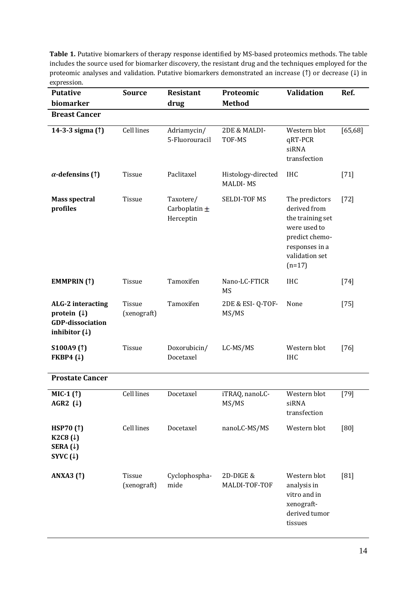Table 1. Putative biomarkers of therapy response identified by MS-based proteomics methods. The table includes the source used for biomarker discovery, the resistant drug and the techniques employed for the proteomic analyses and validation. Putative biomarkers demonstrated an increase (↑) or decrease (↓) in expression.

| <b>Putative</b>                                                                           | <b>Source</b>         | <b>Resistant</b>                            | Proteomic                             | <b>Validation</b>                                                                                                                    | Ref.     |
|-------------------------------------------------------------------------------------------|-----------------------|---------------------------------------------|---------------------------------------|--------------------------------------------------------------------------------------------------------------------------------------|----------|
| biomarker                                                                                 |                       | drug                                        | <b>Method</b>                         |                                                                                                                                      |          |
| <b>Breast Cancer</b>                                                                      |                       |                                             |                                       |                                                                                                                                      |          |
| 14-3-3 sigma (1)                                                                          | <b>Cell lines</b>     | Adriamycin/<br>5-Fluorouracil               | 2DE & MALDI-<br>TOF-MS                | Western blot<br>qRT-PCR<br>siRNA<br>transfection                                                                                     | [65, 68] |
| $\alpha$ -defensins (↑)                                                                   | Tissue                | Paclitaxel                                  | Histology-directed<br><b>MALDI-MS</b> | <b>IHC</b>                                                                                                                           | $[71]$   |
| <b>Mass spectral</b><br>profiles                                                          | Tissue                | Taxotere/<br>Carboplatin $\pm$<br>Herceptin | <b>SELDI-TOF MS</b>                   | The predictors<br>derived from<br>the training set<br>were used to<br>predict chemo-<br>responses in a<br>validation set<br>$(n=17)$ | $[72]$   |
| <b>EMMPRIN</b> (1)                                                                        | Tissue                | Tamoxifen                                   | Nano-LC-FTICR<br>MS                   | <b>IHC</b>                                                                                                                           | $[74]$   |
| ALG-2 interacting<br>protein $(1)$<br><b>GDP-dissociation</b><br>inhibitor $(\downarrow)$ | Tissue<br>(xenograft) | Tamoxifen                                   | 2DE & ESI-Q-TOF-<br>MS/MS             | None                                                                                                                                 | $[75]$   |
| S100A9 <sub>(1)</sub><br>FKBP4 $(1)$                                                      | Tissue                | Doxorubicin/<br>Docetaxel                   | LC-MS/MS                              | Western blot<br><b>IHC</b>                                                                                                           | $[76]$   |
| <b>Prostate Cancer</b>                                                                    |                       |                                             |                                       |                                                                                                                                      |          |
| MIC-1 (1)<br>AGR2 $(\downarrow)$                                                          | <b>Cell lines</b>     | Docetaxel                                   | iTRAQ, nanoLC-<br>MS/MS               | Western blot<br>siRNA<br>transfection                                                                                                | $[79]$   |
| <b>HSP70 (1)</b><br>K2C8 $(1)$<br>SERA $(1)$<br>SYVC $(1)$                                | Cell lines            | Docetaxel                                   | nanoLC-MS/MS                          | Western blot                                                                                                                         | [80]     |
| <b>ANXA3</b> (1)                                                                          | Tissue<br>(xenograft) | Cyclophospha-<br>mide                       | 2D-DIGE &<br>MALDI-TOF-TOF            | Western blot<br>analysis in<br>vitro and in<br>xenograft-<br>derived tumor<br>tissues                                                | $[81]$   |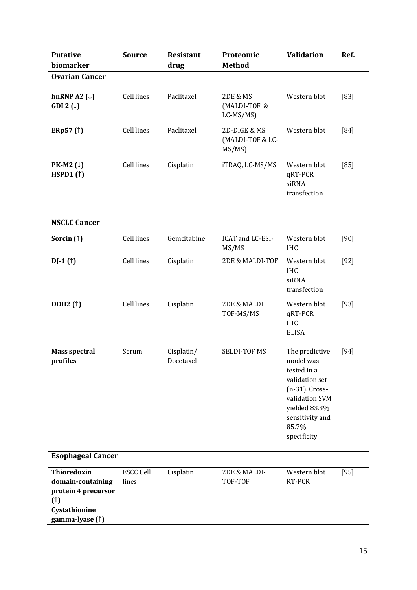| <b>Putative</b><br>biomarker                                                                       | <b>Source</b>             | <b>Resistant</b><br>drug | Proteomic<br><b>Method</b>                          | <b>Validation</b>                                                                                                                                            | Ref.   |
|----------------------------------------------------------------------------------------------------|---------------------------|--------------------------|-----------------------------------------------------|--------------------------------------------------------------------------------------------------------------------------------------------------------------|--------|
| <b>Ovarian Cancer</b>                                                                              |                           |                          |                                                     |                                                                                                                                                              |        |
| hnRNP A2 $(1)$<br>GDI 2 $(1)$                                                                      | <b>Cell lines</b>         | Paclitaxel               | <b>2DE &amp; MS</b><br>(MALDI-TOF &<br>$LC-MS/MS$ ) | Western blot                                                                                                                                                 | $[83]$ |
| ERp57(1)                                                                                           | <b>Cell lines</b>         | Paclitaxel               | 2D-DIGE & MS<br>(MALDI-TOF & LC-<br>MS/MS           | Western blot                                                                                                                                                 | [84]   |
| PK-M2 $(\downarrow)$<br>HSPD1 $(1)$                                                                | Cell lines                | Cisplatin                | iTRAQ, LC-MS/MS                                     | Western blot<br>qRT-PCR<br>siRNA<br>transfection                                                                                                             | [85]   |
| <b>NSCLC Cancer</b>                                                                                |                           |                          |                                                     |                                                                                                                                                              |        |
| Sorcin (1)                                                                                         | <b>Cell lines</b>         | Gemcitabine              | ICAT and LC-ESI-<br>MS/MS                           | Western blot<br><b>IHC</b>                                                                                                                                   | [90]   |
| $DJ-1(f)$                                                                                          | Cell lines                | Cisplatin                | 2DE & MALDI-TOF                                     | Western blot<br><b>IHC</b><br>siRNA<br>transfection                                                                                                          | $[92]$ |
| <b>DDH2</b> (1)                                                                                    | Cell lines                | Cisplatin                | 2DE & MALDI<br>TOF-MS/MS                            | Western blot<br>qRT-PCR<br><b>IHC</b><br><b>ELISA</b>                                                                                                        | $[93]$ |
| <b>Mass spectral</b><br>profiles                                                                   | Serum                     | Cisplatin/<br>Docetaxel  | <b>SELDI-TOF MS</b>                                 | The predictive<br>model was<br>tested in a<br>validation set<br>(n-31). Cross-<br>validation SVM<br>yielded 83.3%<br>sensitivity and<br>85.7%<br>specificity | $[94]$ |
| <b>Esophageal Cancer</b>                                                                           |                           |                          |                                                     |                                                                                                                                                              |        |
| Thioredoxin<br>domain-containing<br>protein 4 precursor<br>(1)<br>Cystathionine<br>gamma-lyase (1) | <b>ESCC Cell</b><br>lines | Cisplatin                | 2DE & MALDI-<br>TOF-TOF                             | Western blot<br>RT-PCR                                                                                                                                       | $[95]$ |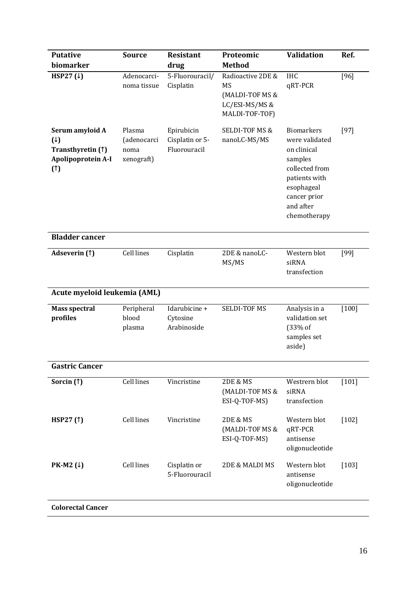| <b>Putative</b>                                                                     | <b>Source</b>                               | <b>Resistant</b>                              | Proteomic                                                                             | <b>Validation</b>                                                                                                                                           | Ref.    |
|-------------------------------------------------------------------------------------|---------------------------------------------|-----------------------------------------------|---------------------------------------------------------------------------------------|-------------------------------------------------------------------------------------------------------------------------------------------------------------|---------|
| biomarker                                                                           |                                             | drug                                          | <b>Method</b>                                                                         |                                                                                                                                                             |         |
| HSP27 $(1)$                                                                         | Adenocarci-<br>noma tissue                  | 5-Fluorouracil/<br>Cisplatin                  | Radioactive 2DE &<br><b>MS</b><br>(MALDI-TOF MS &<br>LC/ESI-MS/MS &<br>MALDI-TOF-TOF) | <b>IHC</b><br>qRT-PCR                                                                                                                                       | $[96]$  |
| Serum amyloid A<br>$(\downarrow)$<br>Transthyretin (1)<br>Apolipoprotein A-I<br>(1) | Plasma<br>(adenocarci<br>noma<br>xenograft) | Epirubicin<br>Cisplatin or 5-<br>Fluorouracil | <b>SELDI-TOF MS &amp;</b><br>nanoLC-MS/MS                                             | <b>Biomarkers</b><br>were validated<br>on clinical<br>samples<br>collected from<br>patients with<br>esophageal<br>cancer prior<br>and after<br>chemotherapy | $[97]$  |
| <b>Bladder cancer</b>                                                               |                                             |                                               |                                                                                       |                                                                                                                                                             |         |
| Adseverin (1)                                                                       | Cell lines                                  | Cisplatin                                     | 2DE & nanoLC-<br>MS/MS                                                                | Western blot<br>siRNA<br>transfection                                                                                                                       | [99]    |
| Acute myeloid leukemia (AML)                                                        |                                             |                                               |                                                                                       |                                                                                                                                                             |         |
| <b>Mass spectral</b><br>profiles                                                    | Peripheral<br>blood<br>plasma               | Idarubicine +<br>Cytosine<br>Arabinoside      | <b>SELDI-TOF MS</b>                                                                   | Analysis in a<br>validation set<br>(33% of<br>samples set<br>aside)                                                                                         | $[100]$ |
| <b>Gastric Cancer</b>                                                               |                                             |                                               |                                                                                       |                                                                                                                                                             |         |
| Sorcin (1)                                                                          | Cell lines                                  | Vincristine                                   | <b>2DE &amp; MS</b><br>(MALDI-TOF MS &<br>ESI-Q-TOF-MS)                               | Westrern blot<br>siRNA<br>transfection                                                                                                                      | $[101]$ |
| HSP27 $(1)$                                                                         | Cell lines                                  | Vincristine                                   | <b>2DE &amp; MS</b><br>(MALDI-TOF MS &<br>ESI-Q-TOF-MS)                               | Western blot<br>qRT-PCR<br>antisense<br>oligonucleotide                                                                                                     | $[102]$ |
| PK-M2 $(1)$                                                                         | Cell lines                                  | Cisplatin or<br>5-Fluorouracil                | 2DE & MALDI MS                                                                        | Western blot<br>antisense<br>oligonucleotide                                                                                                                | $[103]$ |
| <b>Colorectal Cancer</b>                                                            |                                             |                                               |                                                                                       |                                                                                                                                                             |         |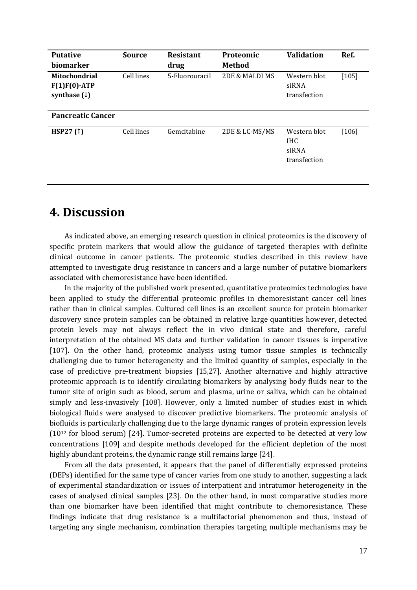| <b>Putative</b>                                                    | <b>Source</b> | <b>Resistant</b> | Proteomic      | <b>Validation</b>                             | Ref.    |
|--------------------------------------------------------------------|---------------|------------------|----------------|-----------------------------------------------|---------|
| biomarker                                                          |               | drug             | Method         |                                               |         |
| <b>Mitochondrial</b><br>$F(1)F(0)$ -ATP<br>synthase $(\downarrow)$ | Cell lines    | 5-Fluorouracil   | 2DE & MALDI MS | Western blot<br>siRNA<br>transfection         | $[105]$ |
| <b>Pancreatic Cancer</b>                                           |               |                  |                |                                               |         |
| <b>HSP27 (1)</b>                                                   | Cell lines    | Gemcitabine      | 2DE & LC-MS/MS | Western blot<br>IHC.<br>siRNA<br>transfection | $[106]$ |

### <span id="page-17-0"></span>**4. Discussion**

As indicated above, an emerging research question in clinical proteomics is the discovery of specific protein markers that would allow the guidance of targeted therapies with definite clinical outcome in cancer patients. The proteomic studies described in this review have attempted to investigate drug resistance in cancers and a large number of putative biomarkers associated with chemoresistance have been identified.

In the majority of the published work presented, quantitative proteomics technologies have been applied to study the differential proteomic profiles in chemoresistant cancer cell lines rather than in clinical samples. Cultured cell lines is an excellent source for protein biomarker discovery since protein samples can be obtained in relative large quantities however, detected protein levels may not always reflect the in vivo clinical state and therefore, careful interpretation of the obtained MS data and further validation in cancer tissues is imperative [107]. On the other hand, proteomic analysis using tumor tissue samples is technically challenging due to tumor heterogeneity and the limited quantity of samples, especially in the case of predictive pre-treatment biopsies [15,27]. Another alternative and highly attractive proteomic approach is to identify circulating biomarkers by analysing body fluids near to the tumor site of origin such as blood, serum and plasma, urine or saliva, which can be obtained simply and less-invasively [108]. However, only a limited number of studies exist in which biological fluids were analysed to discover predictive biomarkers. The proteomic analysis of biofluids is particularly challenging due to the large dynamic ranges of protein expression levels (10<sup>12</sup> for blood serum) [24]. Tumor-secreted proteins are expected to be detected at very low concentrations [109] and despite methods developed for the efficient depletion of the most highly abundant proteins, the dynamic range still remains large [24].

From all the data presented, it appears that the panel of differentially expressed proteins (DEPs) identified for the same type of cancer varies from one study to another, suggesting a lack of experimental standardization or issues of interpatient and intratumor heterogeneity in the cases of analysed clinical samples [23]. On the other hand, in most comparative studies more than one biomarker have been identified that might contribute to chemoresistance. These findings indicate that drug resistance is a multifactorial phenomenon and thus, instead of targeting any single mechanism, combination therapies targeting multiple mechanisms may be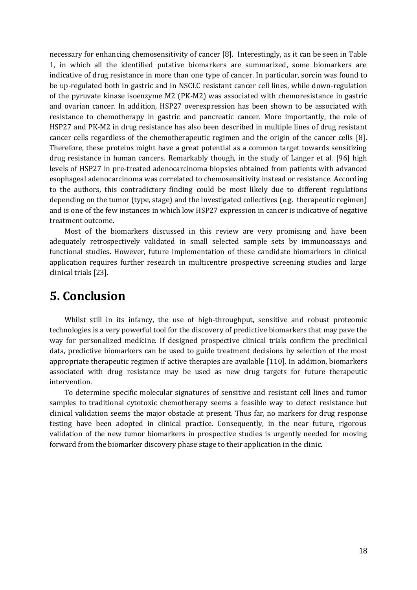necessary for enhancing chemosensitivity of cancer [8]. Interestingly, as it can be seen in Table 1, in which all the identified putative biomarkers are summarized, some biomarkers are indicative of drug resistance in more than one type of cancer. In particular, sorcin was found to be up-regulated both in gastric and in NSCLC resistant cancer cell lines, while down-regulation of the pyruvate kinase isoenzyme M2 (PK-M2) was associated with chemoresistance in gastric and ovarian cancer. In addition, HSP27 overexpression has been shown to be associated with resistance to chemotherapy in gastric and pancreatic cancer. More importantly, the role of HSP27 and PK-M2 in drug resistance has also been described in multiple lines of drug resistant cancer cells regardless of the chemotherapeutic regimen and the origin of the cancer cells [8]. Therefore, these proteins might have a great potential as a common target towards sensitizing drug resistance in human cancers. Remarkably though, in the study of Langer et al. [96] high levels of HSP27 in pre-treated adenocarcinoma biopsies obtained from patients with advanced esophageal adenocarcinoma was correlated to chemosensitivity instead or resistance. According to the authors, this contradictory finding could be most likely due to different regulations depending on the tumor (type, stage) and the investigated collectives (e.g. therapeutic regimen) and is one of the few instances in which low HSP27 expression in cancer is indicative of negative treatment outcome.

Most of the biomarkers discussed in this review are very promising and have been adequately retrospectively validated in small selected sample sets by immunoassays and functional studies. However, future implementation of these candidate biomarkers in clinical application requires further research in multicentre prospective screening studies and large clinical trials [23].

### <span id="page-18-0"></span>**5. Conclusion**

Whilst still in its infancy, the use of high-throughput, sensitive and robust proteomic technologies is a very powerful tool for the discovery of predictive biomarkers that may pave the way for personalized medicine. If designed prospective clinical trials confirm the preclinical data, predictive biomarkers can be used to guide treatment decisions by selection of the most appropriate therapeutic regimen if active therapies are available [110]. In addition, biomarkers associated with drug resistance may be used as new drug targets for future therapeutic intervention.

To determine specific molecular signatures of sensitive and resistant cell lines and tumor samples to traditional cytotoxic chemotherapy seems a feasible way to detect resistance but clinical validation seems the major obstacle at present. Thus far, no markers for drug response testing have been adopted in clinical practice. Consequently, in the near future, rigorous validation of the new tumor biomarkers in prospective studies is urgently needed for moving forward from the biomarker discovery phase stage to their application in the clinic.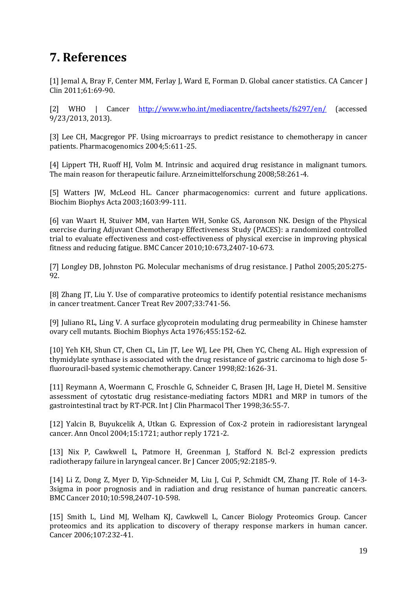## <span id="page-19-0"></span>**7. References**

[1] Jemal A, Bray F, Center MM, Ferlay J, Ward E, Forman D. Global cancer statistics. CA Cancer J Clin 2011;61:69-90.

[2] WHO | Cancer <http://www.who.int/mediacentre/factsheets/fs297/en/> (accessed 9/23/2013, 2013).

[3] Lee CH, Macgregor PF. Using microarrays to predict resistance to chemotherapy in cancer patients. Pharmacogenomics 2004;5:611-25.

[4] Lippert TH, Ruoff HJ, Volm M. Intrinsic and acquired drug resistance in malignant tumors. The main reason for therapeutic failure. Arzneimittelforschung 2008;58:261-4.

[5] Watters JW, McLeod HL. Cancer pharmacogenomics: current and future applications. Biochim Biophys Acta 2003;1603:99-111.

[6] van Waart H, Stuiver MM, van Harten WH, Sonke GS, Aaronson NK. Design of the Physical exercise during Adjuvant Chemotherapy Effectiveness Study (PACES): a randomized controlled trial to evaluate effectiveness and cost-effectiveness of physical exercise in improving physical fitness and reducing fatigue. BMC Cancer 2010;10:673,2407-10-673.

[7] Longley DB, Johnston PG. Molecular mechanisms of drug resistance. J Pathol 2005;205:275- 92.

[8] Zhang JT, Liu Y. Use of comparative proteomics to identify potential resistance mechanisms in cancer treatment. Cancer Treat Rev 2007;33:741-56.

[9] Juliano RL, Ling V. A surface glycoprotein modulating drug permeability in Chinese hamster ovary cell mutants. Biochim Biophys Acta 1976;455:152-62.

[10] Yeh KH, Shun CT, Chen CL, Lin JT, Lee WJ, Lee PH, Chen YC, Cheng AL. High expression of thymidylate synthase is associated with the drug resistance of gastric carcinoma to high dose 5 fluorouracil-based systemic chemotherapy. Cancer 1998;82:1626-31.

[11] Reymann A, Woermann C, Froschle G, Schneider C, Brasen JH, Lage H, Dietel M. Sensitive assessment of cytostatic drug resistance-mediating factors MDR1 and MRP in tumors of the gastrointestinal tract by RT-PCR. Int J Clin Pharmacol Ther 1998;36:55-7.

[12] Yalcin B, Buyukcelik A, Utkan G. Expression of Cox-2 protein in radioresistant laryngeal cancer. Ann Oncol 2004;15:1721; author reply 1721-2.

[13] Nix P, Cawkwell L, Patmore H, Greenman J, Stafford N. Bcl-2 expression predicts radiotherapy failure in laryngeal cancer. Br J Cancer 2005;92:2185-9.

[14] Li Z, Dong Z, Myer D, Yip-Schneider M, Liu J, Cui P, Schmidt CM, Zhang JT. Role of 14-3- 3sigma in poor prognosis and in radiation and drug resistance of human pancreatic cancers. BMC Cancer 2010;10:598,2407-10-598.

[15] Smith L, Lind MJ, Welham KJ, Cawkwell L, Cancer Biology Proteomics Group. Cancer proteomics and its application to discovery of therapy response markers in human cancer. Cancer 2006;107:232-41.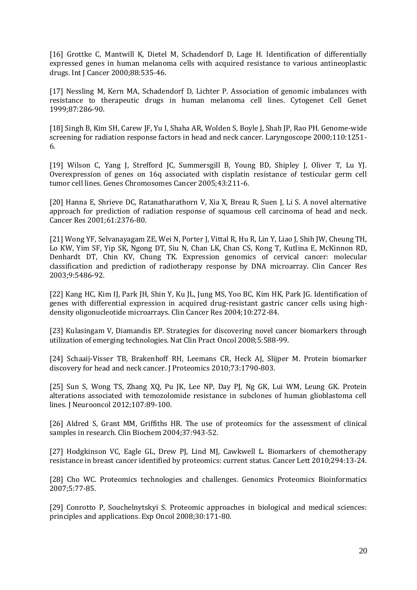[16] Grottke C, Mantwill K, Dietel M, Schadendorf D, Lage H. Identification of differentially expressed genes in human melanoma cells with acquired resistance to various antineoplastic drugs. Int J Cancer 2000;88:535-46.

[17] Nessling M, Kern MA, Schadendorf D, Lichter P. Association of genomic imbalances with resistance to therapeutic drugs in human melanoma cell lines. Cytogenet Cell Genet 1999;87:286-90.

[18] Singh B, Kim SH, Carew JF, Yu I, Shaha AR, Wolden S, Boyle J, Shah JP, Rao PH. Genome-wide screening for radiation response factors in head and neck cancer. Laryngoscope 2000;110:1251- 6.

[19] Wilson C, Yang J, Strefford JC, Summersgill B, Young BD, Shipley J, Oliver T, Lu YJ. Overexpression of genes on 16q associated with cisplatin resistance of testicular germ cell tumor cell lines. Genes Chromosomes Cancer 2005;43:211-6.

[20] Hanna E, Shrieve DC, Ratanatharathorn V, Xia X, Breau R, Suen J, Li S. A novel alternative approach for prediction of radiation response of squamous cell carcinoma of head and neck. Cancer Res 2001;61:2376-80.

[21] Wong YF, Selvanayagam ZE, Wei N, Porter J, Vittal R, Hu R, Lin Y, Liao J, Shih JW, Cheung TH, Lo KW, Yim SF, Yip SK, Ngong DT, Siu N, Chan LK, Chan CS, Kong T, Kutlina E, McKinnon RD, Denhardt DT, Chin KV, Chung TK. Expression genomics of cervical cancer: molecular classification and prediction of radiotherapy response by DNA microarray. Clin Cancer Res 2003;9:5486-92.

[22] Kang HC, Kim IJ, Park JH, Shin Y, Ku JL, Jung MS, Yoo BC, Kim HK, Park JG. Identification of genes with differential expression in acquired drug-resistant gastric cancer cells using highdensity oligonucleotide microarrays. Clin Cancer Res 2004;10:272-84.

[23] Kulasingam V, Diamandis EP. Strategies for discovering novel cancer biomarkers through utilization of emerging technologies. Nat Clin Pract Oncol 2008;5:588-99.

[24] Schaaij-Visser TB, Brakenhoff RH, Leemans CR, Heck AJ, Slijper M. Protein biomarker discovery for head and neck cancer. J Proteomics 2010;73:1790-803.

[25] Sun S, Wong TS, Zhang XQ, Pu JK, Lee NP, Day PJ, Ng GK, Lui WM, Leung GK. Protein alterations associated with temozolomide resistance in subclones of human glioblastoma cell lines. J Neurooncol 2012;107:89-100.

[26] Aldred S, Grant MM, Griffiths HR. The use of proteomics for the assessment of clinical samples in research. Clin Biochem 2004;37:943-52.

[27] Hodgkinson VC, Eagle GL, Drew PJ, Lind MJ, Cawkwell L. Biomarkers of chemotherapy resistance in breast cancer identified by proteomics: current status. Cancer Lett 2010;294:13-24.

[28] Cho WC. Proteomics technologies and challenges. Genomics Proteomics Bioinformatics 2007;5:77-85.

[29] Conrotto P, Souchelnytskyi S. Proteomic approaches in biological and medical sciences: principles and applications. Exp Oncol 2008;30:171-80.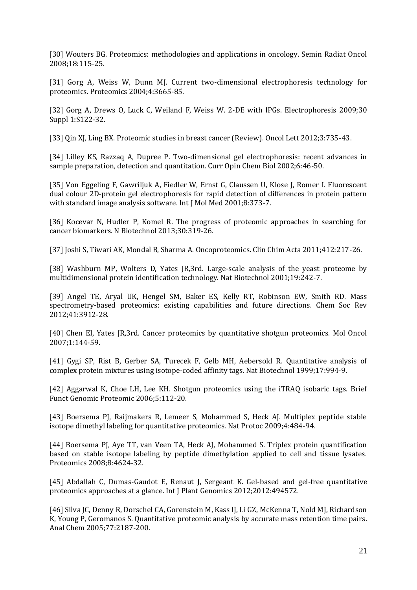[30] Wouters BG. Proteomics: methodologies and applications in oncology. Semin Radiat Oncol 2008;18:115-25.

[31] Gorg A, Weiss W, Dunn MJ. Current two-dimensional electrophoresis technology for proteomics. Proteomics 2004;4:3665-85.

[32] Gorg A, Drews O, Luck C, Weiland F, Weiss W. 2-DE with IPGs. Electrophoresis 2009;30 Suppl 1:S122-32.

[33] Qin XJ, Ling BX. Proteomic studies in breast cancer (Review). Oncol Lett 2012;3:735-43.

[34] Lilley KS, Razzaq A, Dupree P. Two-dimensional gel electrophoresis: recent advances in sample preparation, detection and quantitation. Curr Opin Chem Biol 2002;6:46-50.

[35] Von Eggeling F, Gawriljuk A, Fiedler W, Ernst G, Claussen U, Klose J, Romer I. Fluorescent dual colour 2D-protein gel electrophoresis for rapid detection of differences in protein pattern with standard image analysis software. Int J Mol Med 2001;8:373-7.

[36] Kocevar N, Hudler P, Komel R. The progress of proteomic approaches in searching for cancer biomarkers. N Biotechnol 2013;30:319-26.

[37] Joshi S, Tiwari AK, Mondal B, Sharma A. Oncoproteomics. Clin Chim Acta 2011;412:217-26.

[38] Washburn MP, Wolters D, Yates JR,3rd. Large-scale analysis of the yeast proteome by multidimensional protein identification technology. Nat Biotechnol 2001;19:242-7.

[39] Angel TE, Aryal UK, Hengel SM, Baker ES, Kelly RT, Robinson EW, Smith RD. Mass spectrometry-based proteomics: existing capabilities and future directions. Chem Soc Rev 2012;41:3912-28.

[40] Chen EI, Yates JR,3rd. Cancer proteomics by quantitative shotgun proteomics. Mol Oncol 2007;1:144-59.

[41] Gygi SP, Rist B, Gerber SA, Turecek F, Gelb MH, Aebersold R. Quantitative analysis of complex protein mixtures using isotope-coded affinity tags. Nat Biotechnol 1999;17:994-9.

[42] Aggarwal K, Choe LH, Lee KH. Shotgun proteomics using the iTRAQ isobaric tags. Brief Funct Genomic Proteomic 2006;5:112-20.

[43] Boersema PJ, Raijmakers R, Lemeer S, Mohammed S, Heck AJ. Multiplex peptide stable isotope dimethyl labeling for quantitative proteomics. Nat Protoc 2009;4:484-94.

[44] Boersema PJ, Aye TT, van Veen TA, Heck AJ, Mohammed S. Triplex protein quantification based on stable isotope labeling by peptide dimethylation applied to cell and tissue lysates. Proteomics 2008;8:4624-32.

[45] Abdallah C, Dumas-Gaudot E, Renaut J, Sergeant K. Gel-based and gel-free quantitative proteomics approaches at a glance. Int J Plant Genomics 2012;2012:494572.

[46] Silva JC, Denny R, Dorschel CA, Gorenstein M, Kass IJ, Li GZ, McKenna T, Nold MJ, Richardson K, Young P, Geromanos S. Quantitative proteomic analysis by accurate mass retention time pairs. Anal Chem 2005;77:2187-200.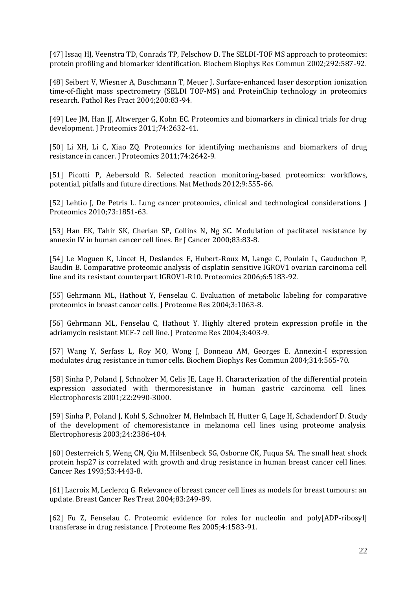[47] Issaq HJ, Veenstra TD, Conrads TP, Felschow D. The SELDI-TOF MS approach to proteomics: protein profiling and biomarker identification. Biochem Biophys Res Commun 2002;292:587-92.

[48] Seibert V, Wiesner A, Buschmann T, Meuer J. Surface-enhanced laser desorption ionization time-of-flight mass spectrometry (SELDI TOF-MS) and ProteinChip technology in proteomics research. Pathol Res Pract 2004;200:83-94.

[49] Lee JM, Han JJ, Altwerger G, Kohn EC. Proteomics and biomarkers in clinical trials for drug development. J Proteomics 2011;74:2632-41.

[50] Li XH, Li C, Xiao ZQ. Proteomics for identifying mechanisms and biomarkers of drug resistance in cancer. J Proteomics 2011;74:2642-9.

[51] Picotti P, Aebersold R. Selected reaction monitoring-based proteomics: workflows, potential, pitfalls and future directions. Nat Methods 2012;9:555-66.

[52] Lehtio J, De Petris L. Lung cancer proteomics, clinical and technological considerations. J Proteomics 2010;73:1851-63.

[53] Han EK, Tahir SK, Cherian SP, Collins N, Ng SC. Modulation of paclitaxel resistance by annexin IV in human cancer cell lines. Br J Cancer 2000;83:83-8.

[54] Le Moguen K, Lincet H, Deslandes E, Hubert-Roux M, Lange C, Poulain L, Gauduchon P, Baudin B. Comparative proteomic analysis of cisplatin sensitive IGROV1 ovarian carcinoma cell line and its resistant counterpart IGROV1-R10. Proteomics 2006;6:5183-92.

[55] Gehrmann ML, Hathout Y, Fenselau C. Evaluation of metabolic labeling for comparative proteomics in breast cancer cells. J Proteome Res 2004;3:1063-8.

[56] Gehrmann ML, Fenselau C, Hathout Y. Highly altered protein expression profile in the adriamycin resistant MCF-7 cell line. J Proteome Res 2004;3:403-9.

[57] Wang Y, Serfass L, Roy MO, Wong J, Bonneau AM, Georges E. Annexin-I expression modulates drug resistance in tumor cells. Biochem Biophys Res Commun 2004;314:565-70.

[58] Sinha P, Poland J, Schnolzer M, Celis JE, Lage H. Characterization of the differential protein expression associated with thermoresistance in human gastric carcinoma cell lines. Electrophoresis 2001;22:2990-3000.

[59] Sinha P, Poland J, Kohl S, Schnolzer M, Helmbach H, Hutter G, Lage H, Schadendorf D. Study of the development of chemoresistance in melanoma cell lines using proteome analysis. Electrophoresis 2003;24:2386-404.

[60] Oesterreich S, Weng CN, Qiu M, Hilsenbeck SG, Osborne CK, Fuqua SA. The small heat shock protein hsp27 is correlated with growth and drug resistance in human breast cancer cell lines. Cancer Res 1993;53:4443-8.

[61] Lacroix M, Leclercq G. Relevance of breast cancer cell lines as models for breast tumours: an update. Breast Cancer Res Treat 2004;83:249-89.

[62] Fu Z, Fenselau C. Proteomic evidence for roles for nucleolin and poly[ADP-ribosyl] transferase in drug resistance. J Proteome Res 2005;4:1583-91.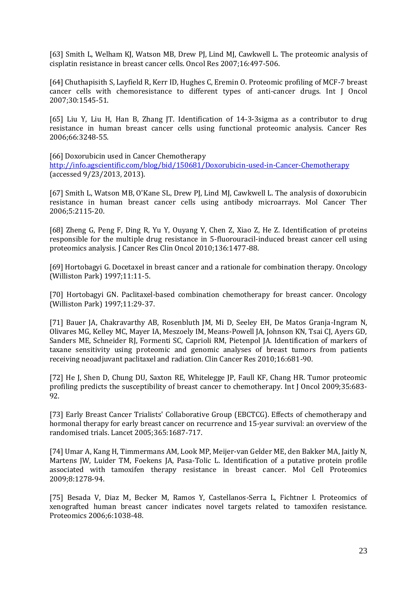[63] Smith L, Welham KJ, Watson MB, Drew PJ, Lind MJ, Cawkwell L. The proteomic analysis of cisplatin resistance in breast cancer cells. Oncol Res 2007;16:497-506.

[64] Chuthapisith S, Layfield R, Kerr ID, Hughes C, Eremin O. Proteomic profiling of MCF-7 breast cancer cells with chemoresistance to different types of anti-cancer drugs. Int J Oncol 2007;30:1545-51.

[65] Liu Y, Liu H, Han B, Zhang JT. Identification of 14-3-3sigma as a contributor to drug resistance in human breast cancer cells using functional proteomic analysis. Cancer Res 2006;66:3248-55.

[66] Doxorubicin used in Cancer Chemotherapy

<http://info.agscientific.com/blog/bid/150681/Doxorubicin-used-in-Cancer-Chemotherapy> (accessed 9/23/2013, 2013).

[67] Smith L, Watson MB, O'Kane SL, Drew PJ, Lind MJ, Cawkwell L. The analysis of doxorubicin resistance in human breast cancer cells using antibody microarrays. Mol Cancer Ther 2006;5:2115-20.

[68] Zheng G, Peng F, Ding R, Yu Y, Ouyang Y, Chen Z, Xiao Z, He Z. Identification of proteins responsible for the multiple drug resistance in 5-fluorouracil-induced breast cancer cell using proteomics analysis. J Cancer Res Clin Oncol 2010;136:1477-88.

[69] Hortobagyi G. Docetaxel in breast cancer and a rationale for combination therapy. Oncology (Williston Park) 1997;11:11-5.

[70] Hortobagyi GN. Paclitaxel-based combination chemotherapy for breast cancer. Oncology (Williston Park) 1997;11:29-37.

[71] Bauer JA, Chakravarthy AB, Rosenbluth JM, Mi D, Seeley EH, De Matos Granja-Ingram N, Olivares MG, Kelley MC, Mayer IA, Meszoely IM, Means-Powell JA, Johnson KN, Tsai CJ, Ayers GD, Sanders ME, Schneider RJ, Formenti SC, Caprioli RM, Pietenpol JA. Identification of markers of taxane sensitivity using proteomic and genomic analyses of breast tumors from patients receiving neoadjuvant paclitaxel and radiation. Clin Cancer Res 2010;16:681-90.

[72] He J, Shen D, Chung DU, Saxton RE, Whitelegge JP, Faull KF, Chang HR. Tumor proteomic profiling predicts the susceptibility of breast cancer to chemotherapy. Int J Oncol 2009;35:683- 92.

[73] Early Breast Cancer Trialists' Collaborative Group (EBCTCG). Effects of chemotherapy and hormonal therapy for early breast cancer on recurrence and 15-year survival: an overview of the randomised trials. Lancet 2005;365:1687-717.

[74] Umar A, Kang H, Timmermans AM, Look MP, Meijer-van Gelder ME, den Bakker MA, Jaitly N, Martens JW, Luider TM, Foekens JA, Pasa-Tolic L. Identification of a putative protein profile associated with tamoxifen therapy resistance in breast cancer. Mol Cell Proteomics 2009;8:1278-94.

[75] Besada V, Diaz M, Becker M, Ramos Y, Castellanos-Serra L, Fichtner I. Proteomics of xenografted human breast cancer indicates novel targets related to tamoxifen resistance. Proteomics 2006;6:1038-48.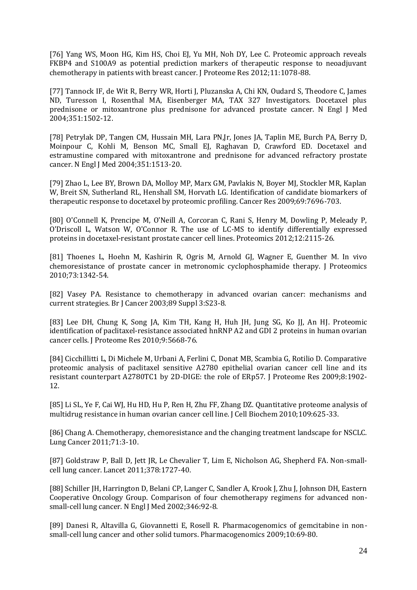[76] Yang WS, Moon HG, Kim HS, Choi EJ, Yu MH, Noh DY, Lee C. Proteomic approach reveals FKBP4 and S100A9 as potential prediction markers of therapeutic response to neoadjuvant chemotherapy in patients with breast cancer. J Proteome Res 2012;11:1078-88.

[77] Tannock IF, de Wit R, Berry WR, Horti J, Pluzanska A, Chi KN, Oudard S, Theodore C, James ND, Turesson I, Rosenthal MA, Eisenberger MA, TAX 327 Investigators. Docetaxel plus prednisone or mitoxantrone plus prednisone for advanced prostate cancer. N Engl J Med 2004;351:1502-12.

[78] Petrylak DP, Tangen CM, Hussain MH, Lara PN,Jr, Jones JA, Taplin ME, Burch PA, Berry D, Moinpour C, Kohli M, Benson MC, Small EJ, Raghavan D, Crawford ED. Docetaxel and estramustine compared with mitoxantrone and prednisone for advanced refractory prostate cancer. N Engl J Med 2004;351:1513-20.

[79] Zhao L, Lee BY, Brown DA, Molloy MP, Marx GM, Pavlakis N, Boyer MJ, Stockler MR, Kaplan W, Breit SN, Sutherland RL, Henshall SM, Horvath LG. Identification of candidate biomarkers of therapeutic response to docetaxel by proteomic profiling. Cancer Res 2009;69:7696-703.

[80] O'Connell K, Prencipe M, O'Neill A, Corcoran C, Rani S, Henry M, Dowling P, Meleady P, O'Driscoll L, Watson W, O'Connor R. The use of LC-MS to identify differentially expressed proteins in docetaxel-resistant prostate cancer cell lines. Proteomics 2012;12:2115-26.

[81] Thoenes L, Hoehn M, Kashirin R, Ogris M, Arnold GJ, Wagner E, Guenther M. In vivo chemoresistance of prostate cancer in metronomic cyclophosphamide therapy. J Proteomics 2010;73:1342-54.

[82] Vasey PA. Resistance to chemotherapy in advanced ovarian cancer: mechanisms and current strategies. Br J Cancer 2003;89 Suppl 3:S23-8.

[83] Lee DH, Chung K, Song JA, Kim TH, Kang H, Huh JH, Jung SG, Ko JJ, An HJ. Proteomic identification of paclitaxel-resistance associated hnRNP A2 and GDI 2 proteins in human ovarian cancer cells. J Proteome Res 2010;9:5668-76.

[84] Cicchillitti L, Di Michele M, Urbani A, Ferlini C, Donat MB, Scambia G, Rotilio D. Comparative proteomic analysis of paclitaxel sensitive A2780 epithelial ovarian cancer cell line and its resistant counterpart A2780TC1 by 2D-DIGE: the role of ERp57. J Proteome Res 2009;8:1902- 12.

[85] Li SL, Ye F, Cai WJ, Hu HD, Hu P, Ren H, Zhu FF, Zhang DZ. Quantitative proteome analysis of multidrug resistance in human ovarian cancer cell line. J Cell Biochem 2010;109:625-33.

[86] Chang A. Chemotherapy, chemoresistance and the changing treatment landscape for NSCLC. Lung Cancer 2011;71:3-10.

[87] Goldstraw P, Ball D, Jett JR, Le Chevalier T, Lim E, Nicholson AG, Shepherd FA. Non-smallcell lung cancer. Lancet 2011;378:1727-40.

[88] Schiller JH, Harrington D, Belani CP, Langer C, Sandler A, Krook J, Zhu J, Johnson DH, Eastern Cooperative Oncology Group. Comparison of four chemotherapy regimens for advanced nonsmall-cell lung cancer. N Engl J Med 2002;346:92-8.

[89] Danesi R, Altavilla G, Giovannetti E, Rosell R. Pharmacogenomics of gemcitabine in nonsmall-cell lung cancer and other solid tumors. Pharmacogenomics 2009;10:69-80.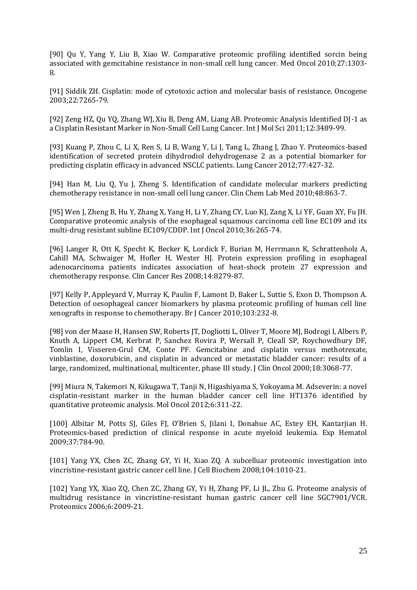[90] Qu Y, Yang Y, Liu B, Xiao W. Comparative proteomic profiling identified sorcin being associated with gemcitabine resistance in non-small cell lung cancer. Med Oncol 2010;27:1303- 8.

[91] Siddik ZH. Cisplatin: mode of cytotoxic action and molecular basis of resistance. Oncogene 2003;22:7265-79.

[92] Zeng HZ, Qu YQ, Zhang WJ, Xiu B, Deng AM, Liang AB. Proteomic Analysis Identified DJ-1 as a Cisplatin Resistant Marker in Non-Small Cell Lung Cancer. Int J Mol Sci 2011;12:3489-99.

[93] Kuang P, Zhou C, Li X, Ren S, Li B, Wang Y, Li J, Tang L, Zhang J, Zhao Y. Proteomics-based identification of secreted protein dihydrodiol dehydrogenase 2 as a potential biomarker for predicting cisplatin efficacy in advanced NSCLC patients. Lung Cancer 2012;77:427-32.

[94] Han M, Liu Q, Yu J, Zheng S. Identification of candidate molecular markers predicting chemotherapy resistance in non-small cell lung cancer. Clin Chem Lab Med 2010;48:863-7.

[95] Wen J, Zheng B, Hu Y, Zhang X, Yang H, Li Y, Zhang CY, Luo KJ, Zang X, Li YF, Guan XY, Fu JH. Comparative proteomic analysis of the esophageal squamous carcinoma cell line EC109 and its multi-drug resistant subline EC109/CDDP. Int J Oncol 2010;36:265-74.

[96] Langer R, Ott K, Specht K, Becker K, Lordick F, Burian M, Herrmann K, Schrattenholz A, Cahill MA, Schwaiger M, Hofler H, Wester HJ. Protein expression profiling in esophageal adenocarcinoma patients indicates association of heat-shock protein 27 expression and chemotherapy response. Clin Cancer Res 2008;14:8279-87.

[97] Kelly P, Appleyard V, Murray K, Paulin F, Lamont D, Baker L, Suttie S, Exon D, Thompson A. Detection of oesophageal cancer biomarkers by plasma proteomic profiling of human cell line xenografts in response to chemotherapy. Br J Cancer 2010;103:232-8.

[98] von der Maase H, Hansen SW, Roberts JT, Dogliotti L, Oliver T, Moore MJ, Bodrogi I, Albers P, Knuth A, Lippert CM, Kerbrat P, Sanchez Rovira P, Wersall P, Cleall SP, Roychowdhury DF, Tomlin I, Visseren-Grul CM, Conte PF. Gemcitabine and cisplatin versus methotrexate, vinblastine, doxorubicin, and cisplatin in advanced or metastatic bladder cancer: results of a large, randomized, multinational, multicenter, phase III study. J Clin Oncol 2000;18:3068-77.

[99] Miura N, Takemori N, Kikugawa T, Tanji N, Higashiyama S, Yokoyama M. Adseverin: a novel cisplatin-resistant marker in the human bladder cancer cell line HT1376 identified by quantitative proteomic analysis. Mol Oncol 2012;6:311-22.

[100] Albitar M, Potts SJ, Giles FJ, O'Brien S, Jilani I, Donahue AC, Estey EH, Kantarjian H. Proteomics-based prediction of clinical response in acute myeloid leukemia. Exp Hematol 2009;37:784-90.

[101] Yang YX, Chen ZC, Zhang GY, Yi H, Xiao ZQ. A subcelluar proteomic investigation into vincristine-resistant gastric cancer cell line. J Cell Biochem 2008;104:1010-21.

[102] Yang YX, Xiao ZQ, Chen ZC, Zhang GY, Yi H, Zhang PF, Li JL, Zhu G. Proteome analysis of multidrug resistance in vincristine-resistant human gastric cancer cell line SGC7901/VCR. Proteomics 2006;6:2009-21.